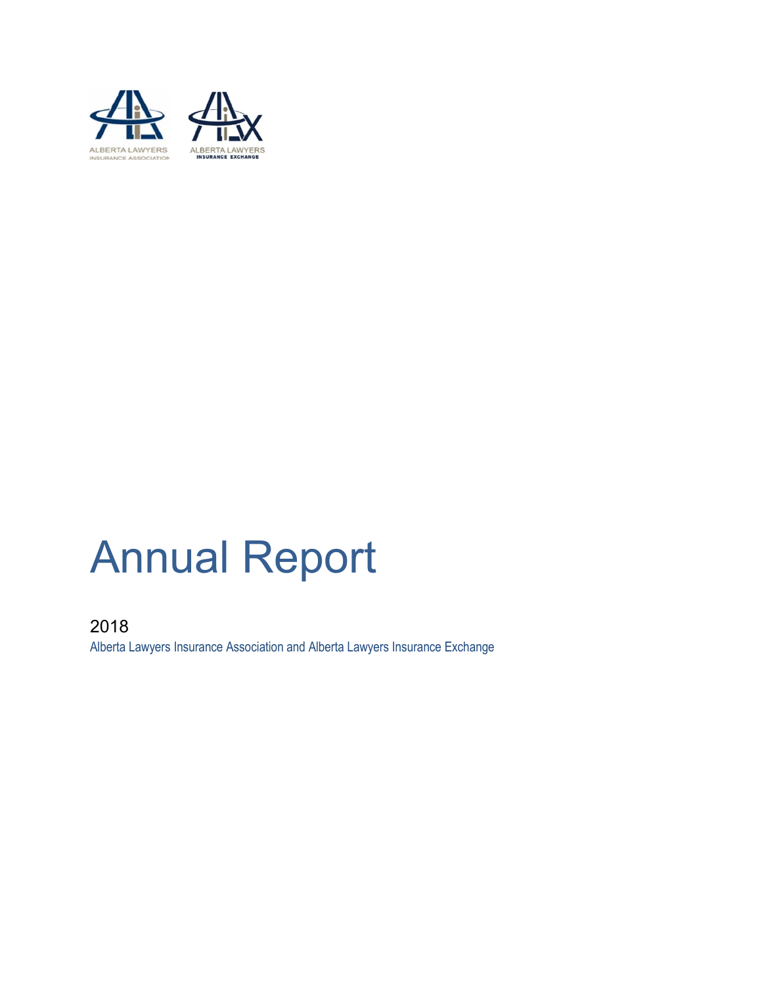

# Annual Report

2018 Alberta Lawyers Insurance Association and Alberta Lawyers Insurance Exchange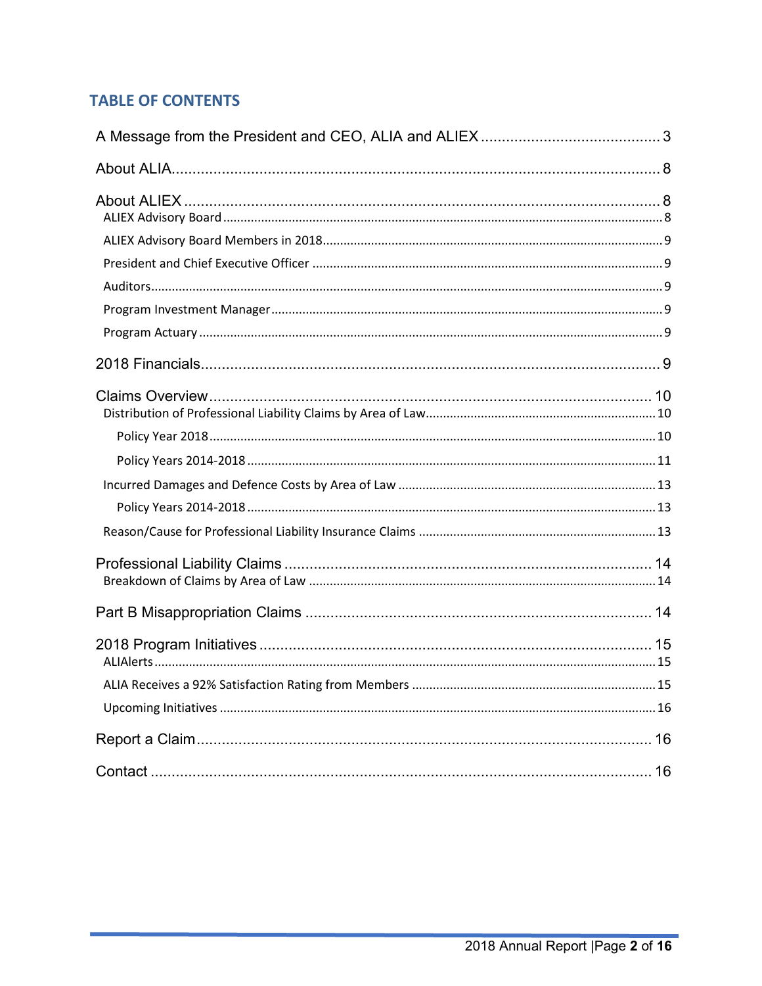# **TABLE OF CONTENTS**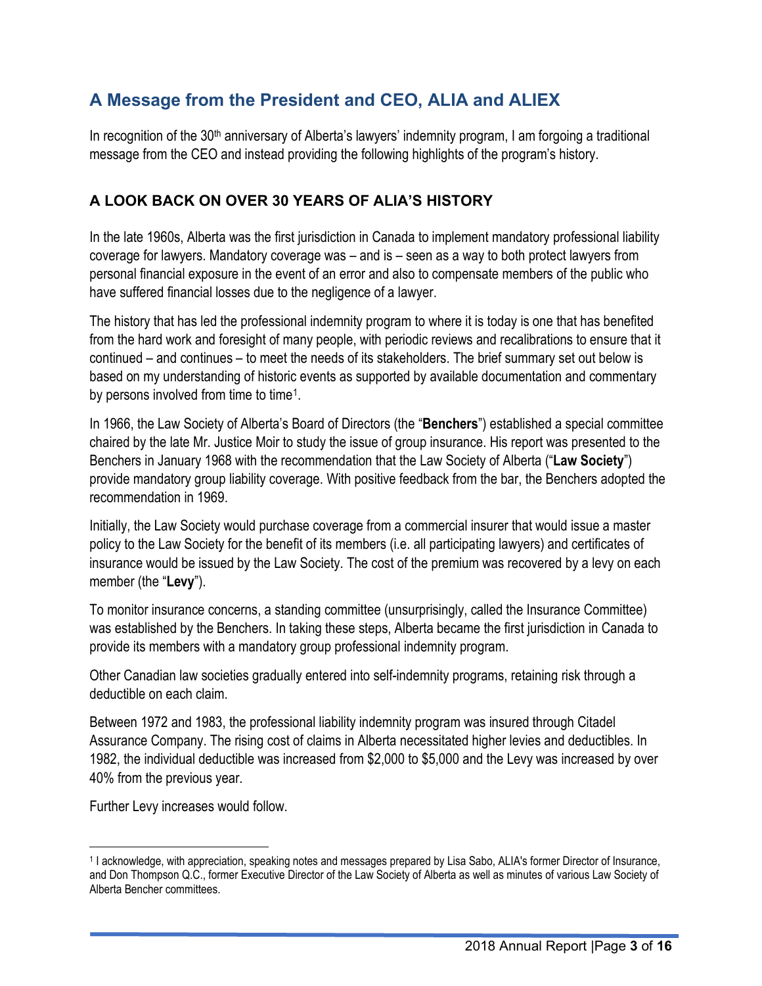# <span id="page-2-0"></span>**A Message from the President and CEO, ALIA and ALIEX**

In recognition of the 30<sup>th</sup> anniversary of Alberta's lawyers' indemnity program, I am forgoing a traditional message from the CEO and instead providing the following highlights of the program's history.

## **A LOOK BACK ON OVER 30 YEARS OF ALIA'S HISTORY**

In the late 1960s, Alberta was the first jurisdiction in Canada to implement mandatory professional liability coverage for lawyers. Mandatory coverage was – and is – seen as a way to both protect lawyers from personal financial exposure in the event of an error and also to compensate members of the public who have suffered financial losses due to the negligence of a lawyer.

The history that has led the professional indemnity program to where it is today is one that has benefited from the hard work and foresight of many people, with periodic reviews and recalibrations to ensure that it continued – and continues – to meet the needs of its stakeholders. The brief summary set out below is based on my understanding of historic events as supported by available documentation and commentary by persons involved from time to time[1](#page-2-1).

In 1966, the Law Society of Alberta's Board of Directors (the "**Benchers**") established a special committee chaired by the late Mr. Justice Moir to study the issue of group insurance. His report was presented to the Benchers in January 1968 with the recommendation that the Law Society of Alberta ("**Law Society**") provide mandatory group liability coverage. With positive feedback from the bar, the Benchers adopted the recommendation in 1969.

Initially, the Law Society would purchase coverage from a commercial insurer that would issue a master policy to the Law Society for the benefit of its members (i.e. all participating lawyers) and certificates of insurance would be issued by the Law Society. The cost of the premium was recovered by a levy on each member (the "**Levy**").

To monitor insurance concerns, a standing committee (unsurprisingly, called the Insurance Committee) was established by the Benchers. In taking these steps, Alberta became the first jurisdiction in Canada to provide its members with a mandatory group professional indemnity program.

Other Canadian law societies gradually entered into self-indemnity programs, retaining risk through a deductible on each claim.

Between 1972 and 1983, the professional liability indemnity program was insured through Citadel Assurance Company. The rising cost of claims in Alberta necessitated higher levies and deductibles. In 1982, the individual deductible was increased from \$2,000 to \$5,000 and the Levy was increased by over 40% from the previous year.

Further Levy increases would follow.

<span id="page-2-1"></span><sup>1</sup> I acknowledge, with appreciation, speaking notes and messages prepared by Lisa Sabo, ALIA's former Director of Insurance, and Don Thompson Q.C., former Executive Director of the Law Society of Alberta as well as minutes of various Law Society of Alberta Bencher committees.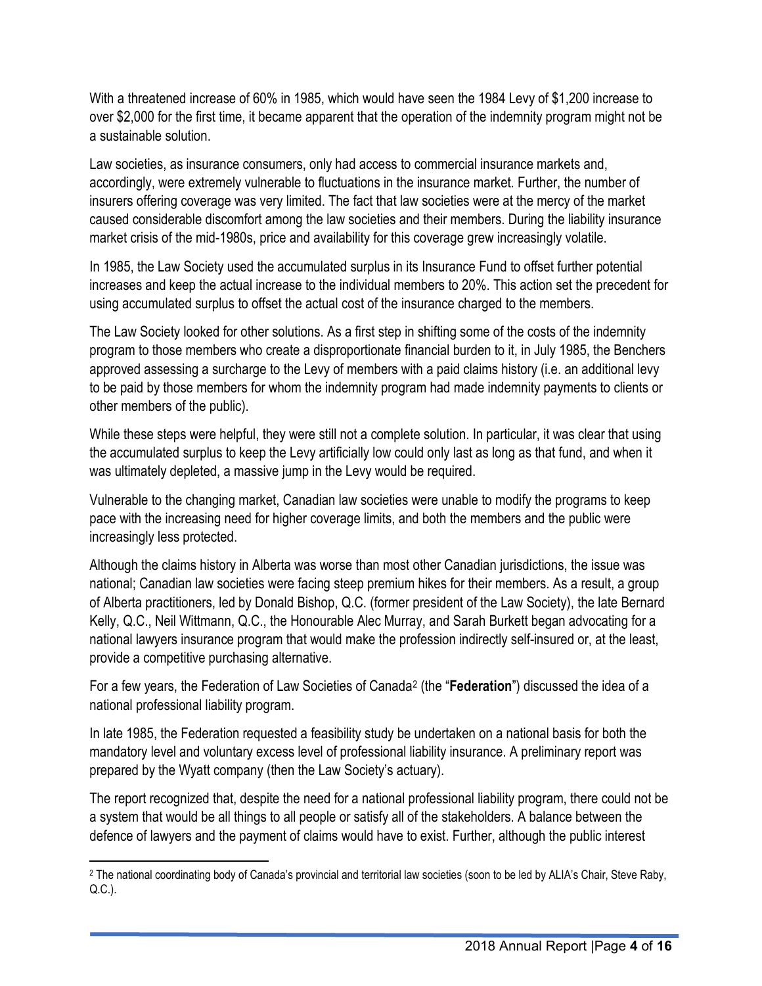With a threatened increase of 60% in 1985, which would have seen the 1984 Levy of \$1,200 increase to over \$2,000 for the first time, it became apparent that the operation of the indemnity program might not be a sustainable solution.

Law societies, as insurance consumers, only had access to commercial insurance markets and, accordingly, were extremely vulnerable to fluctuations in the insurance market. Further, the number of insurers offering coverage was very limited. The fact that law societies were at the mercy of the market caused considerable discomfort among the law societies and their members. During the liability insurance market crisis of the mid-1980s, price and availability for this coverage grew increasingly volatile.

In 1985, the Law Society used the accumulated surplus in its Insurance Fund to offset further potential increases and keep the actual increase to the individual members to 20%. This action set the precedent for using accumulated surplus to offset the actual cost of the insurance charged to the members.

The Law Society looked for other solutions. As a first step in shifting some of the costs of the indemnity program to those members who create a disproportionate financial burden to it, in July 1985, the Benchers approved assessing a surcharge to the Levy of members with a paid claims history (i.e. an additional levy to be paid by those members for whom the indemnity program had made indemnity payments to clients or other members of the public).

While these steps were helpful, they were still not a complete solution. In particular, it was clear that using the accumulated surplus to keep the Levy artificially low could only last as long as that fund, and when it was ultimately depleted, a massive jump in the Levy would be required.

Vulnerable to the changing market, Canadian law societies were unable to modify the programs to keep pace with the increasing need for higher coverage limits, and both the members and the public were increasingly less protected.

Although the claims history in Alberta was worse than most other Canadian jurisdictions, the issue was national; Canadian law societies were facing steep premium hikes for their members. As a result, a group of Alberta practitioners, led by Donald Bishop, Q.C. (former president of the Law Society), the late Bernard Kelly, Q.C., Neil Wittmann, Q.C., the Honourable Alec Murray, and Sarah Burkett began advocating for a national lawyers insurance program that would make the profession indirectly self-insured or, at the least, provide a competitive purchasing alternative.

For a few years, the Federation of Law Societies of Canada[2](#page-3-0) (the "**Federation**") discussed the idea of a national professional liability program.

In late 1985, the Federation requested a feasibility study be undertaken on a national basis for both the mandatory level and voluntary excess level of professional liability insurance. A preliminary report was prepared by the Wyatt company (then the Law Society's actuary).

The report recognized that, despite the need for a national professional liability program, there could not be a system that would be all things to all people or satisfy all of the stakeholders. A balance between the defence of lawyers and the payment of claims would have to exist. Further, although the public interest

<span id="page-3-0"></span><sup>2</sup> The national coordinating body of Canada's provincial and territorial law societies (soon to be led by ALIA's Chair, Steve Raby, Q.C.).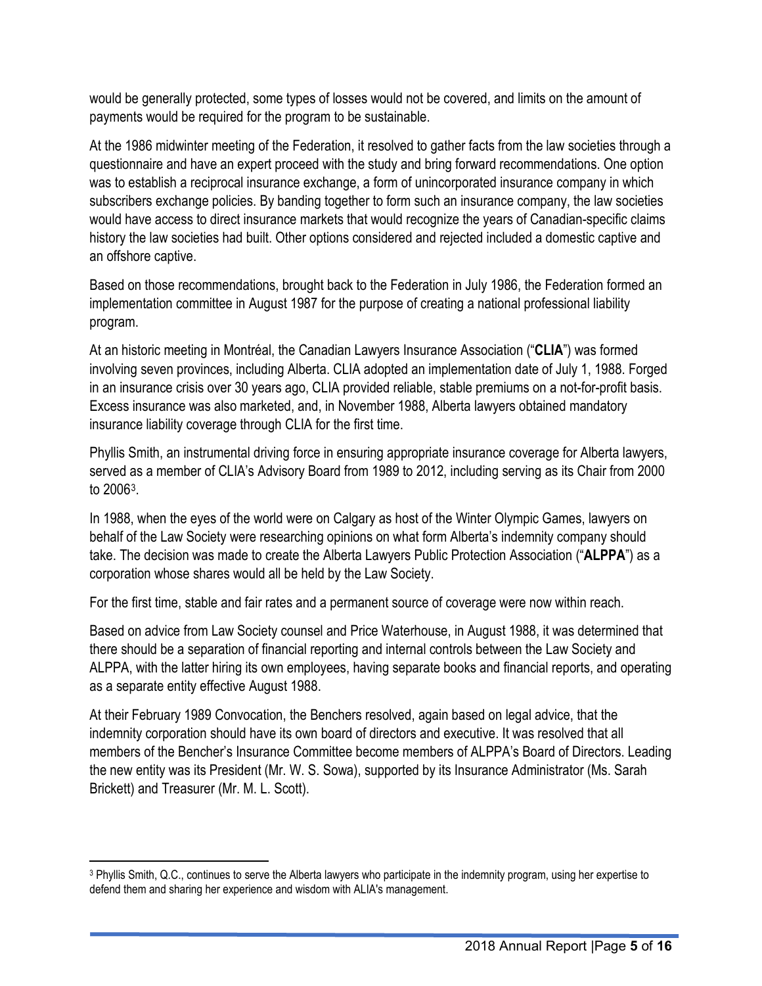would be generally protected, some types of losses would not be covered, and limits on the amount of payments would be required for the program to be sustainable.

At the 1986 midwinter meeting of the Federation, it resolved to gather facts from the law societies through a questionnaire and have an expert proceed with the study and bring forward recommendations. One option was to establish a reciprocal insurance exchange, a form of unincorporated insurance company in which subscribers exchange policies. By banding together to form such an insurance company, the law societies would have access to direct insurance markets that would recognize the years of Canadian-specific claims history the law societies had built. Other options considered and rejected included a domestic captive and an offshore captive.

Based on those recommendations, brought back to the Federation in July 1986, the Federation formed an implementation committee in August 1987 for the purpose of creating a national professional liability program.

At an historic meeting in Montréal, the Canadian Lawyers Insurance Association ("**CLIA**") was formed involving seven provinces, including Alberta. CLIA adopted an implementation date of July 1, 1988. Forged in an insurance crisis over 30 years ago, CLIA provided reliable, stable premiums on a not-for-profit basis. Excess insurance was also marketed, and, in November 1988, Alberta lawyers obtained mandatory insurance liability coverage through CLIA for the first time.

Phyllis Smith, an instrumental driving force in ensuring appropriate insurance coverage for Alberta lawyers, served as a member of CLIA's Advisory Board from 1989 to 2012, including serving as its Chair from 2000 to 2006[3](#page-4-0).

In 1988, when the eyes of the world were on Calgary as host of the Winter Olympic Games, lawyers on behalf of the Law Society were researching opinions on what form Alberta's indemnity company should take. The decision was made to create the Alberta Lawyers Public Protection Association ("**ALPPA**") as a corporation whose shares would all be held by the Law Society.

For the first time, stable and fair rates and a permanent source of coverage were now within reach.

Based on advice from Law Society counsel and Price Waterhouse, in August 1988, it was determined that there should be a separation of financial reporting and internal controls between the Law Society and ALPPA, with the latter hiring its own employees, having separate books and financial reports, and operating as a separate entity effective August 1988.

At their February 1989 Convocation, the Benchers resolved, again based on legal advice, that the indemnity corporation should have its own board of directors and executive. It was resolved that all members of the Bencher's Insurance Committee become members of ALPPA's Board of Directors. Leading the new entity was its President (Mr. W. S. Sowa), supported by its Insurance Administrator (Ms. Sarah Brickett) and Treasurer (Mr. M. L. Scott).

<span id="page-4-0"></span><sup>3</sup> Phyllis Smith, Q.C., continues to serve the Alberta lawyers who participate in the indemnity program, using her expertise to defend them and sharing her experience and wisdom with ALIA's management.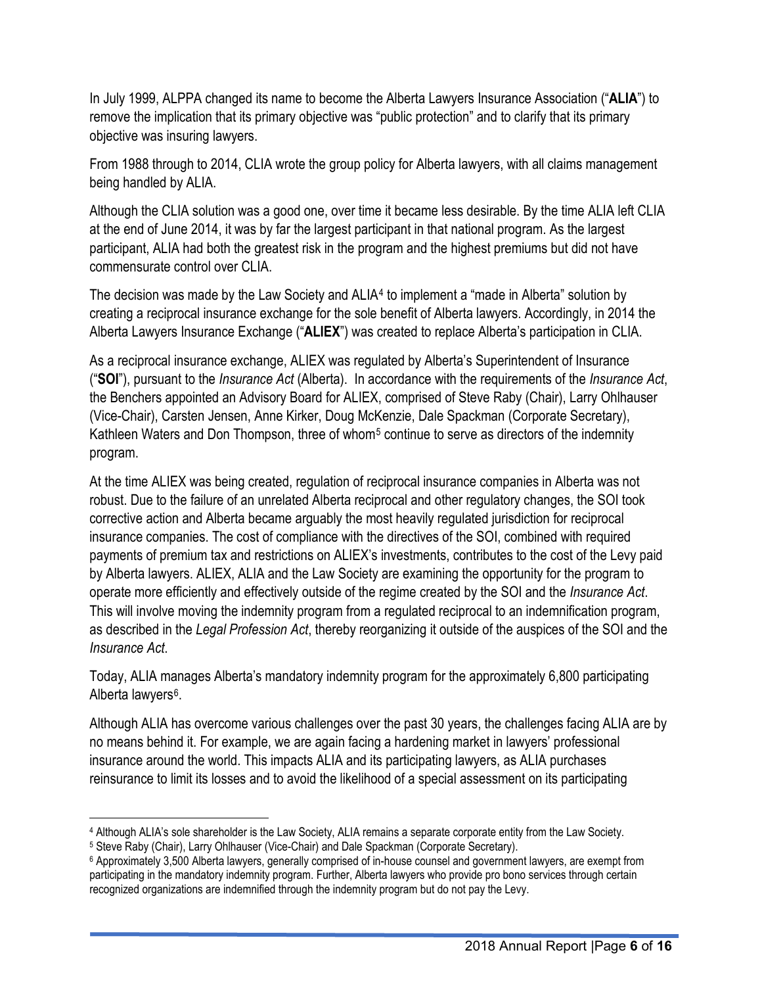In July 1999, ALPPA changed its name to become the Alberta Lawyers Insurance Association ("**ALIA**") to remove the implication that its primary objective was "public protection" and to clarify that its primary objective was insuring lawyers.

From 1988 through to 2014, CLIA wrote the group policy for Alberta lawyers, with all claims management being handled by ALIA.

Although the CLIA solution was a good one, over time it became less desirable. By the time ALIA left CLIA at the end of June 2014, it was by far the largest participant in that national program. As the largest participant, ALIA had both the greatest risk in the program and the highest premiums but did not have commensurate control over CLIA.

The decision was made by the Law Society and ALIA<sup>[4](#page-5-0)</sup> to implement a "made in Alberta" solution by creating a reciprocal insurance exchange for the sole benefit of Alberta lawyers. Accordingly, in 2014 the Alberta Lawyers Insurance Exchange ("**ALIEX**") was created to replace Alberta's participation in CLIA.

As a reciprocal insurance exchange, ALIEX was regulated by Alberta's Superintendent of Insurance ("**SOI**"), pursuant to the *Insurance Act* (Alberta). In accordance with the requirements of the *Insurance Act*, the Benchers appointed an Advisory Board for ALIEX, comprised of Steve Raby (Chair), Larry Ohlhauser (Vice-Chair), Carsten Jensen, Anne Kirker, Doug McKenzie, Dale Spackman (Corporate Secretary), Kathleen Waters and Don Thompson, three of whom<sup>[5](#page-5-1)</sup> continue to serve as directors of the indemnity program.

At the time ALIEX was being created, regulation of reciprocal insurance companies in Alberta was not robust. Due to the failure of an unrelated Alberta reciprocal and other regulatory changes, the SOI took corrective action and Alberta became arguably the most heavily regulated jurisdiction for reciprocal insurance companies. The cost of compliance with the directives of the SOI, combined with required payments of premium tax and restrictions on ALIEX's investments, contributes to the cost of the Levy paid by Alberta lawyers. ALIEX, ALIA and the Law Society are examining the opportunity for the program to operate more efficiently and effectively outside of the regime created by the SOI and the *Insurance Act*. This will involve moving the indemnity program from a regulated reciprocal to an indemnification program, as described in the *Legal Profession Act*, thereby reorganizing it outside of the auspices of the SOI and the *Insurance Act*.

Today, ALIA manages Alberta's mandatory indemnity program for the approximately 6,800 participating Alberta lawyers<sup>[6](#page-5-2)</sup>.

Although ALIA has overcome various challenges over the past 30 years, the challenges facing ALIA are by no means behind it. For example, we are again facing a hardening market in lawyers' professional insurance around the world. This impacts ALIA and its participating lawyers, as ALIA purchases reinsurance to limit its losses and to avoid the likelihood of a special assessment on its participating

<span id="page-5-0"></span><sup>4</sup> Although ALIA's sole shareholder is the Law Society, ALIA remains a separate corporate entity from the Law Society.

<span id="page-5-1"></span><sup>5</sup> Steve Raby (Chair), Larry Ohlhauser (Vice-Chair) and Dale Spackman (Corporate Secretary).

<span id="page-5-2"></span><sup>6</sup> Approximately 3,500 Alberta lawyers, generally comprised of in-house counsel and government lawyers, are exempt from participating in the mandatory indemnity program. Further, Alberta lawyers who provide pro bono services through certain recognized organizations are indemnified through the indemnity program but do not pay the Levy.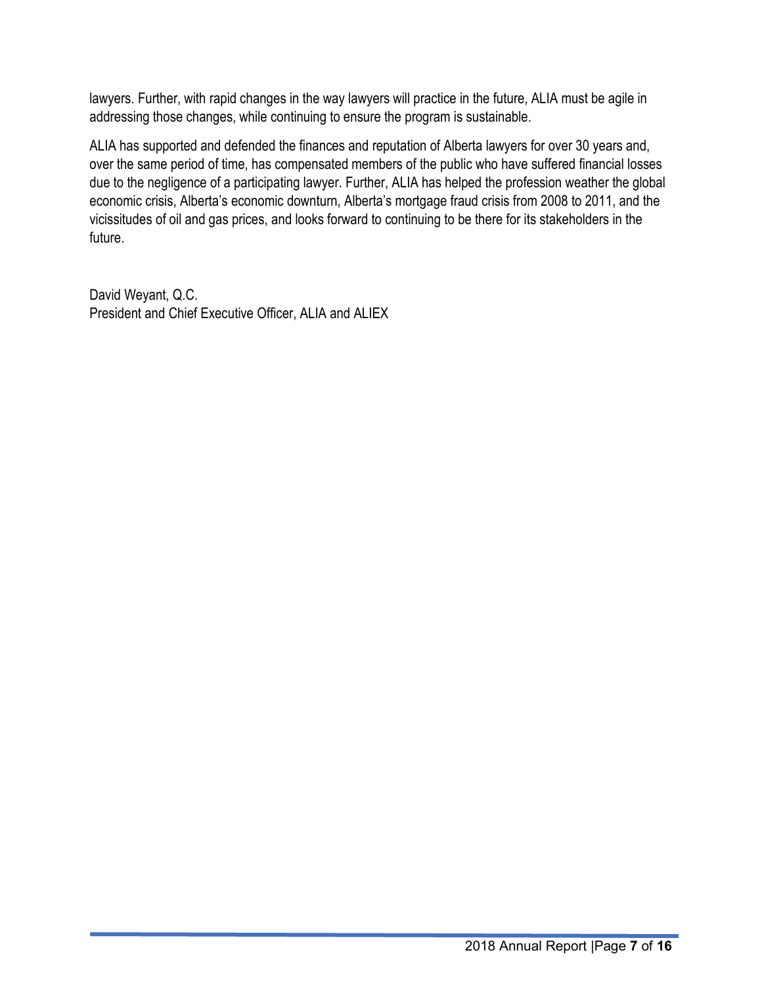lawyers. Further, with rapid changes in the way lawyers will practice in the future, ALIA must be agile in addressing those changes, while continuing to ensure the program is sustainable.

ALIA has supported and defended the finances and reputation of Alberta lawyers for over 30 years and, over the same period of time, has compensated members of the public who have suffered financial losses due to the negligence of a participating lawyer. Further, ALIA has helped the profession weather the global economic crisis, Alberta's economic downturn, Alberta's mortgage fraud crisis from 2008 to 2011, and the vicissitudes of oil and gas prices, and looks forward to continuing to be there for its stakeholders in the future.

David Weyant, Q.C. President and Chief Executive Officer, ALIA and ALIEX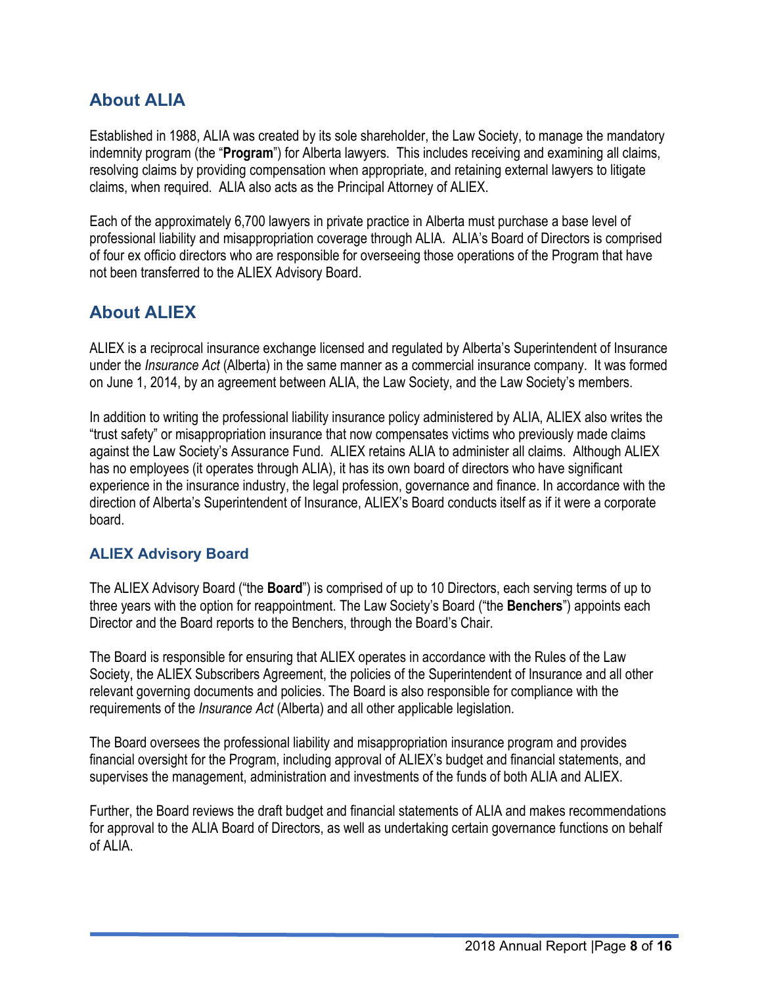# <span id="page-7-0"></span>**About ALIA**

Established in 1988, ALIA was created by its sole shareholder, the Law Society, to manage the mandatory indemnity program (the "**Program**") for Alberta lawyers. This includes receiving and examining all claims, resolving claims by providing compensation when appropriate, and retaining external lawyers to litigate claims, when required. ALIA also acts as the Principal Attorney of ALIEX.

Each of the approximately 6,700 lawyers in private practice in Alberta must purchase a base level of professional liability and misappropriation coverage through ALIA. ALIA's Board of Directors is comprised of four ex officio directors who are responsible for overseeing those operations of the Program that have not been transferred to the ALIEX Advisory Board.

# <span id="page-7-1"></span>**About ALIEX**

ALIEX is a reciprocal insurance exchange licensed and regulated by Alberta's Superintendent of Insurance under the *Insurance Act* (Alberta) in the same manner as a commercial insurance company. It was formed on June 1, 2014, by an agreement between ALIA, the Law Society, and the Law Society's members.

In addition to writing the professional liability insurance policy administered by ALIA, ALIEX also writes the "trust safety" or misappropriation insurance that now compensates victims who previously made claims against the Law Society's Assurance Fund. ALIEX retains ALIA to administer all claims. Although ALIEX has no employees (it operates through ALIA), it has its own board of directors who have significant experience in the insurance industry, the legal profession, governance and finance. In accordance with the direction of Alberta's Superintendent of Insurance, ALIEX's Board conducts itself as if it were a corporate board.

## <span id="page-7-2"></span>**ALIEX Advisory Board**

The ALIEX Advisory Board ("the **Board**") is comprised of up to 10 Directors, each serving terms of up to three years with the option for reappointment. The Law Society's Board ("the **Benchers**") appoints each Director and the Board reports to the Benchers, through the Board's Chair.

The Board is responsible for ensuring that ALIEX operates in accordance with the Rules of the Law Society, the ALIEX Subscribers Agreement, the policies of the Superintendent of Insurance and all other relevant governing documents and policies. The Board is also responsible for compliance with the requirements of the *Insurance Act* (Alberta) and all other applicable legislation.

The Board oversees the professional liability and misappropriation insurance program and provides financial oversight for the Program, including approval of ALIEX's budget and financial statements, and supervises the management, administration and investments of the funds of both ALIA and ALIEX.

Further, the Board reviews the draft budget and financial statements of ALIA and makes recommendations for approval to the ALIA Board of Directors, as well as undertaking certain governance functions on behalf of ALIA.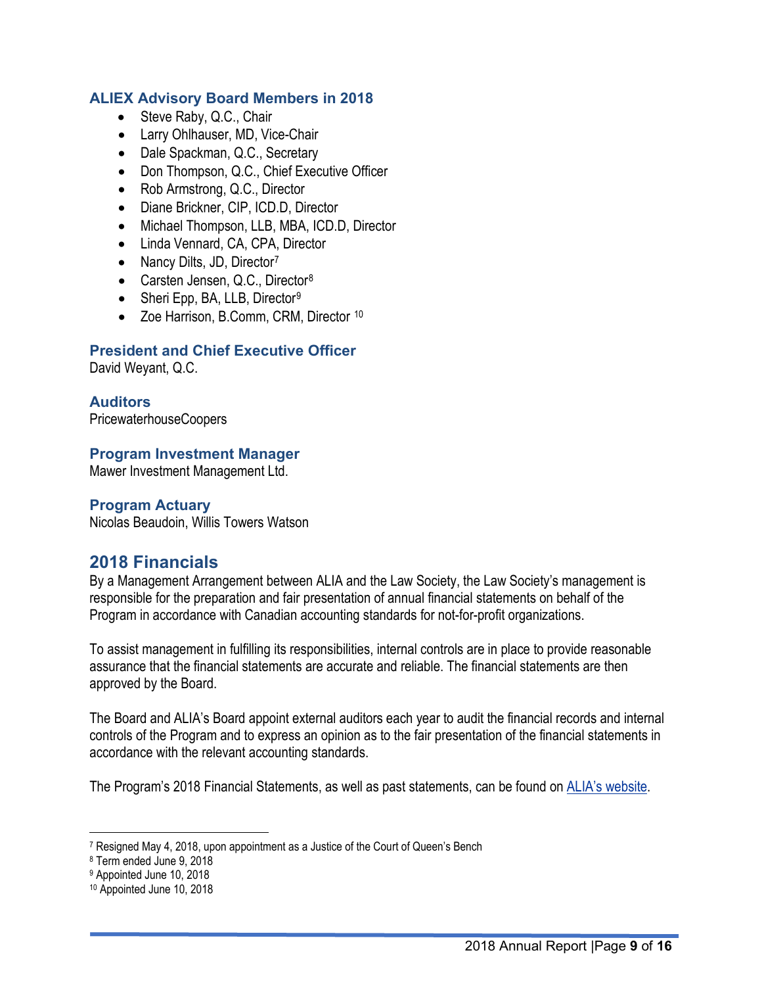#### <span id="page-8-0"></span>**ALIEX Advisory Board Members in 2018**

- Steve Raby, Q.C., Chair
- Larry Ohlhauser, MD, Vice-Chair
- Dale Spackman, Q.C., Secretary
- Don Thompson, Q.C., Chief Executive Officer
- Rob Armstrong, Q.C., Director
- Diane Brickner, CIP, ICD.D, Director
- Michael Thompson, LLB, MBA, ICD.D, Director
- Linda Vennard, CA, CPA, Director
- Nancy Dilts, JD, Director<sup>[7](#page-8-6)</sup>
- Carsten Jensen, Q.C., Director<sup>[8](#page-8-7)</sup>
- Sheri Epp, BA, LLB, Director<sup>[9](#page-8-8)</sup>
- Zoe Harrison, B.Comm, CRM, Director [10](#page-8-9)

#### <span id="page-8-1"></span>**President and Chief Executive Officer**

David Weyant, Q.C.

#### <span id="page-8-2"></span>**Auditors**

PricewaterhouseCoopers

#### <span id="page-8-3"></span>**Program Investment Manager**

Mawer Investment Management Ltd.

#### <span id="page-8-4"></span>**Program Actuary**

Nicolas Beaudoin, Willis Towers Watson

## <span id="page-8-5"></span>**2018 Financials**

By a Management Arrangement between ALIA and the Law Society, the Law Society's management is responsible for the preparation and fair presentation of annual financial statements on behalf of the Program in accordance with Canadian accounting standards for not-for-profit organizations.

To assist management in fulfilling its responsibilities, internal controls are in place to provide reasonable assurance that the financial statements are accurate and reliable. The financial statements are then approved by the Board.

The Board and ALIA's Board appoint external auditors each year to audit the financial records and internal controls of the Program and to express an opinion as to the fair presentation of the financial statements in accordance with the relevant accounting standards.

The Program's 2018 Financial Statements, as well as past statements, can be found on **ALIA's website**.

<span id="page-8-6"></span><sup>7</sup> Resigned May 4, 2018, upon appointment as a Justice of the Court of Queen's Bench

<span id="page-8-7"></span><sup>8</sup> Term ended June 9, 2018

<span id="page-8-8"></span><sup>9</sup> Appointed June 10, 2018

<span id="page-8-9"></span><sup>10</sup> Appointed June 10, 2018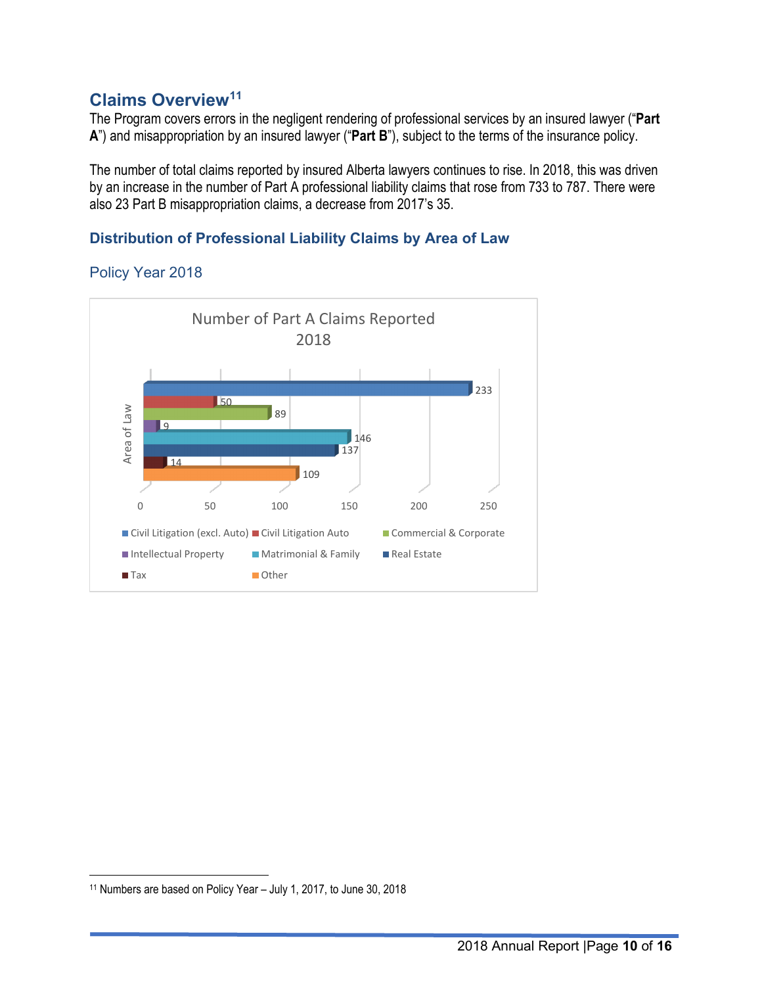## <span id="page-9-0"></span>**Claims Overview[11](#page-9-3)**

The Program covers errors in the negligent rendering of professional services by an insured lawyer ("**Part A**") and misappropriation by an insured lawyer ("**Part B**"), subject to the terms of the insurance policy.

The number of total claims reported by insured Alberta lawyers continues to rise. In 2018, this was driven by an increase in the number of Part A professional liability claims that rose from 733 to 787. There were also 23 Part B misappropriation claims, a decrease from 2017's 35.

### <span id="page-9-1"></span>**Distribution of Professional Liability Claims by Area of Law**

#### <span id="page-9-2"></span>Policy Year 2018



<span id="page-9-3"></span><sup>11</sup> Numbers are based on Policy Year – July 1, 2017, to June 30, 2018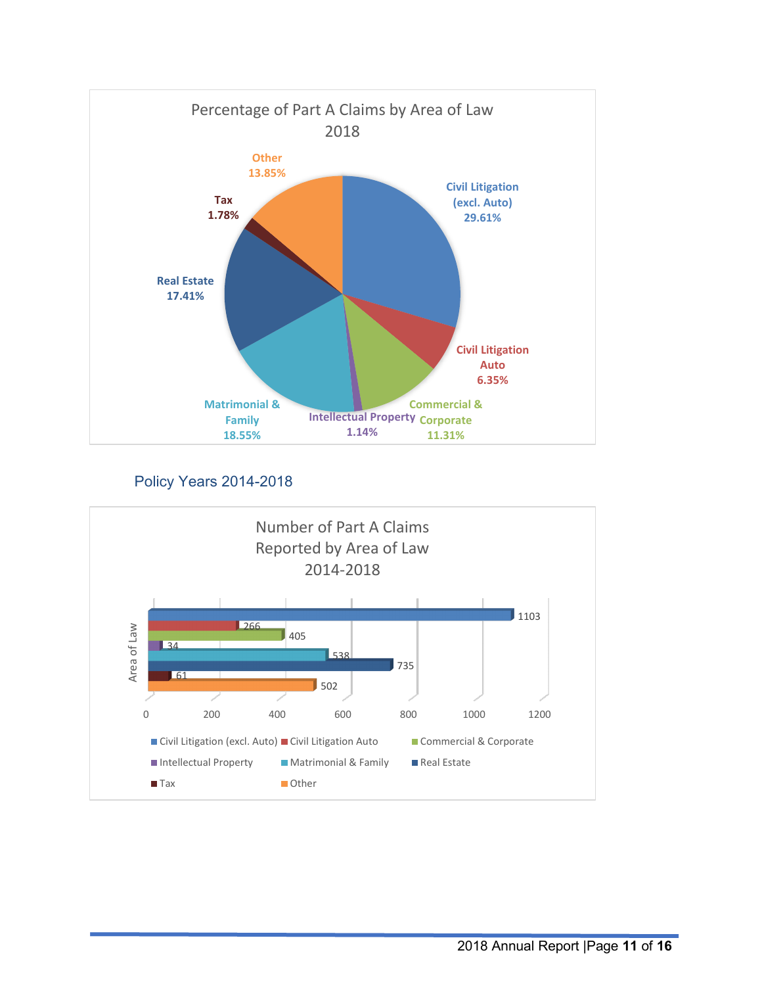

Policy Years 2014-2018

<span id="page-10-0"></span>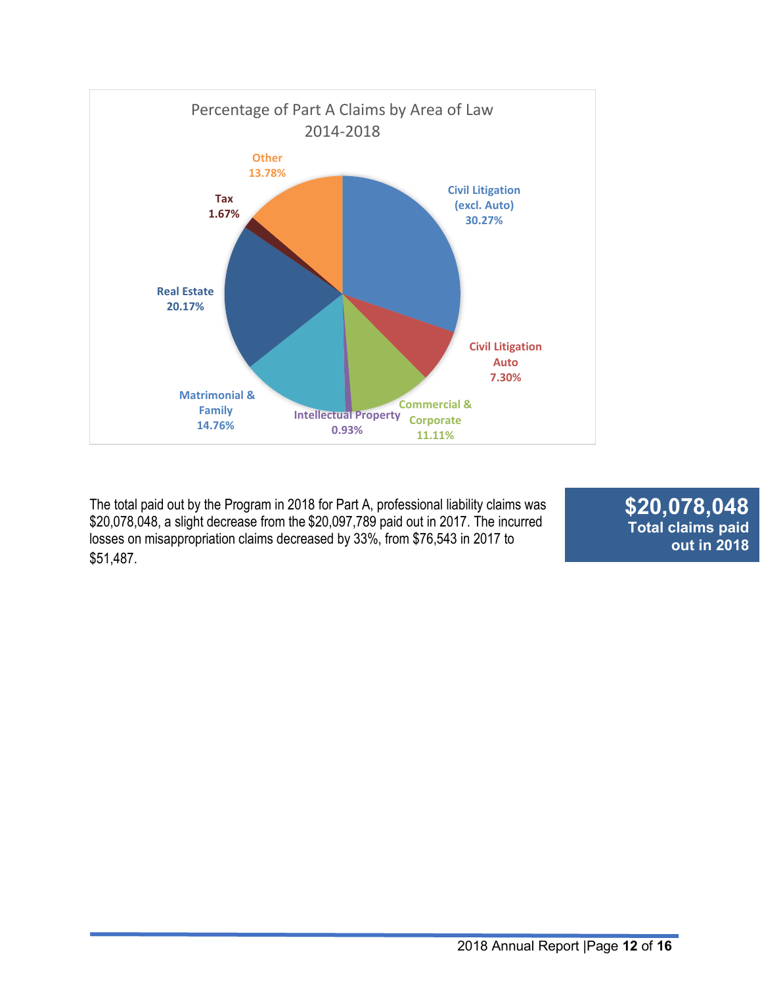

The total paid out by the Program in 2018 for Part A, professional liability claims was \$20,078,048, a slight decrease from the \$20,097,789 paid out in 2017. The incurred losses on misappropriation claims decreased by 33%, from \$76,543 in 2017 to  $$51,487.$ 

**\$20,078,048 Total claims paid out in 2018**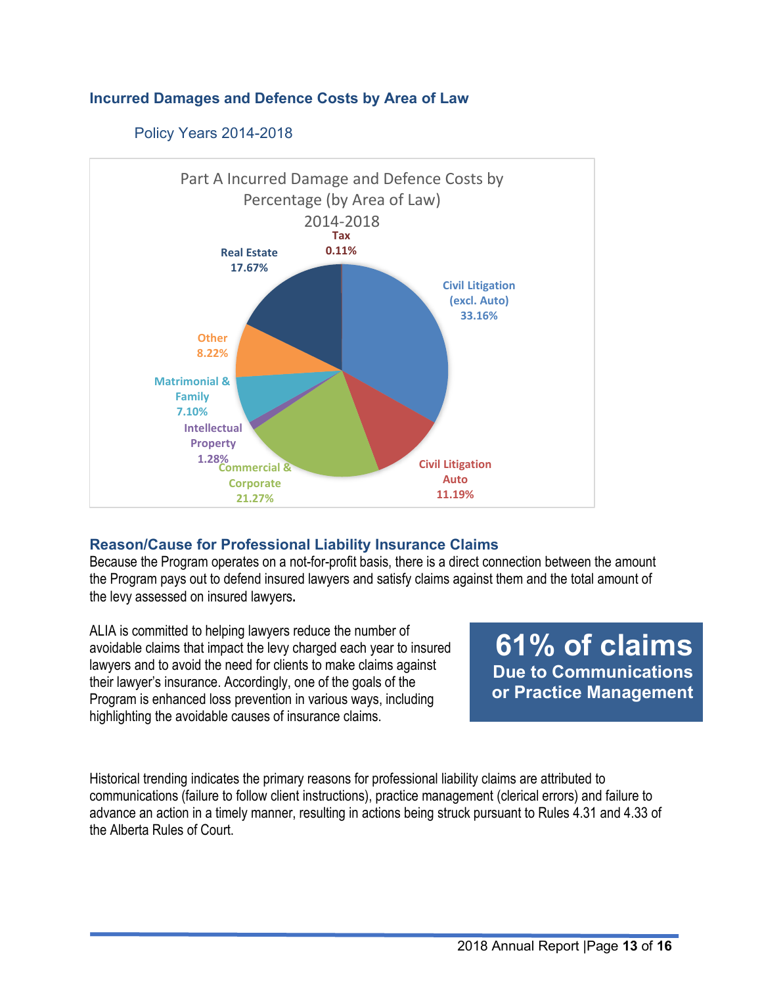#### <span id="page-12-0"></span>**Incurred Damages and Defence Costs by Area of Law**

<span id="page-12-1"></span>

#### Policy Years 2014-2018

#### <span id="page-12-2"></span>**Reason/Cause for Professional Liability Insurance Claims**

Because the Program operates on a not-for-profit basis, there is a direct connection between the amount the Program pays out to defend insured lawyers and satisfy claims against them and the total amount of the levy assessed on insured lawyers**.**

ALIA is committed to helping lawyers reduce the number of avoidable claims that impact the levy charged each year to insured lawyers and to avoid the need for clients to make claims against their lawyer's insurance. Accordingly, one of the goals of the Program is enhanced loss prevention in various ways, including highlighting the avoidable causes of insurance claims.

**61% of claims Due to Communications or Practice Management**

Historical trending indicates the primary reasons for professional liability claims are attributed to communications (failure to follow client instructions), practice management (clerical errors) and failure to advance an action in a timely manner, resulting in actions being struck pursuant to Rules 4.31 and 4.33 of the Alberta Rules of Court.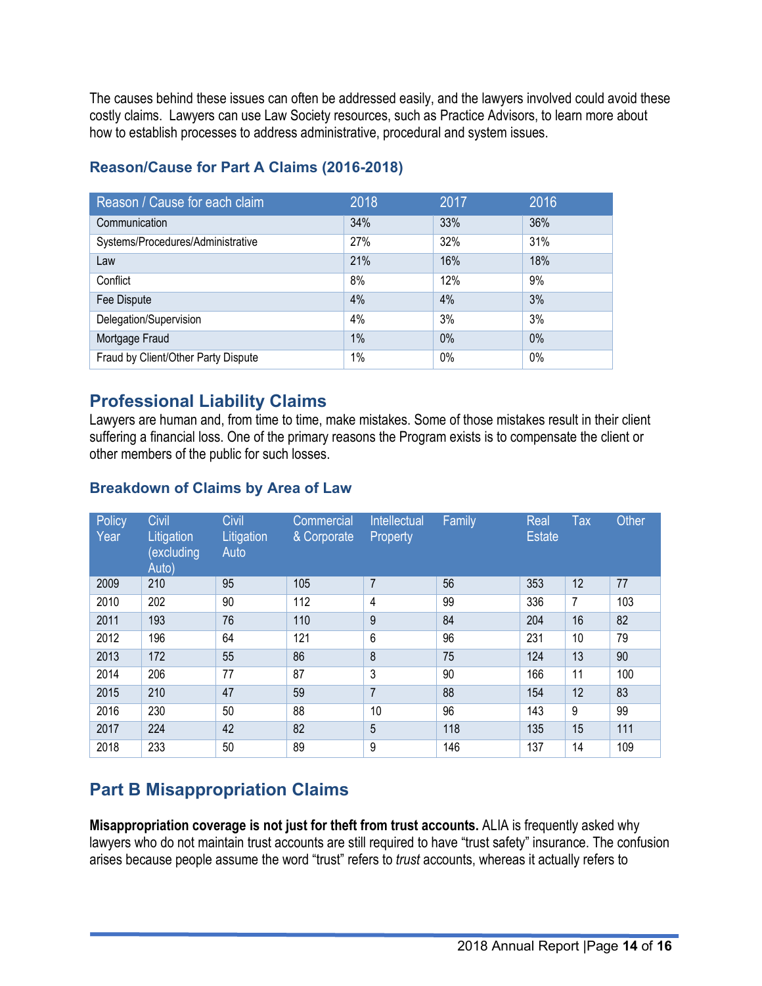The causes behind these issues can often be addressed easily, and the lawyers involved could avoid these costly claims. Lawyers can use Law Society resources, such a[s Practice Advisors,](https://www.lawsociety.ab.ca/lawyers-and-students/practice-advisors/) to learn more about how to establish processes to address administrative, procedural and system issues.

| Reason / Cause for each claim       | 2018 | 2017 | 2016 |
|-------------------------------------|------|------|------|
| Communication                       | 34%  | 33%  | 36%  |
| Systems/Procedures/Administrative   | 27%  | 32%  | 31%  |
| Law                                 | 21%  | 16%  | 18%  |
| Conflict                            | 8%   | 12%  | 9%   |
| Fee Dispute                         | 4%   | 4%   | 3%   |
| Delegation/Supervision              | 4%   | 3%   | 3%   |
| Mortgage Fraud                      | 1%   | 0%   | 0%   |
| Fraud by Client/Other Party Dispute | 1%   | 0%   | 0%   |

## **Reason/Cause for Part A Claims (2016-2018)**

## <span id="page-13-0"></span>**Professional Liability Claims**

Lawyers are human and, from time to time, make mistakes. Some of those mistakes result in their client suffering a financial loss. One of the primary reasons the Program exists is to compensate the client or other members of the public for such losses.

#### <span id="page-13-1"></span>**Breakdown of Claims by Area of Law**

| Policy<br>Year | Civil<br>Litigation<br><i><u><b>excluding</b></u></i><br>Auto) | Civil<br>Litigation<br>Auto | Commercial<br>& Corporate | Intellectual<br>Property | Family | Real<br><b>Estate</b> | <b>Tax</b>     | Other |
|----------------|----------------------------------------------------------------|-----------------------------|---------------------------|--------------------------|--------|-----------------------|----------------|-------|
| 2009           | 210                                                            | 95                          | 105                       | $\overline{7}$           | 56     | 353                   | 12             | 77    |
| 2010           | 202                                                            | 90                          | 112                       | 4                        | 99     | 336                   | $\overline{7}$ | 103   |
| 2011           | 193                                                            | 76                          | 110                       | 9                        | 84     | 204                   | 16             | 82    |
| 2012           | 196                                                            | 64                          | 121                       | 6                        | 96     | 231                   | 10             | 79    |
| 2013           | 172                                                            | 55                          | 86                        | 8                        | 75     | 124                   | 13             | 90    |
| 2014           | 206                                                            | 77                          | 87                        | 3                        | 90     | 166                   | 11             | 100   |
| 2015           | 210                                                            | 47                          | 59                        | $\overline{7}$           | 88     | 154                   | 12             | 83    |
| 2016           | 230                                                            | 50                          | 88                        | 10                       | 96     | 143                   | 9              | 99    |
| 2017           | 224                                                            | 42                          | 82                        | 5                        | 118    | 135                   | 15             | 111   |
| 2018           | 233                                                            | 50                          | 89                        | 9                        | 146    | 137                   | 14             | 109   |

# <span id="page-13-2"></span>**Part B Misappropriation Claims**

**Misappropriation coverage is not just for theft from trust accounts.** ALIA is frequently asked why lawyers who do not maintain trust accounts are still required to have "trust safety" insurance. The confusion arises because people assume the word "trust" refers to *trust* accounts, whereas it actually refers to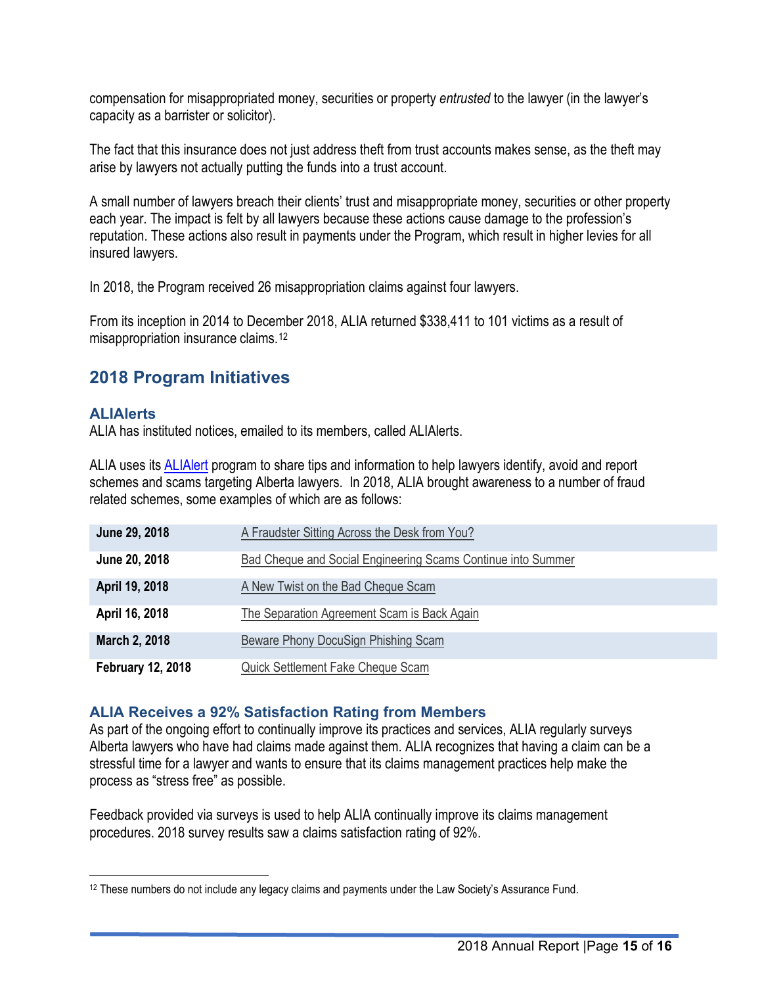compensation for misappropriated money, securities or property *entrusted* to the lawyer (in the lawyer's capacity as a barrister or solicitor).

The fact that this insurance does not just address theft from trust accounts makes sense, as the theft may arise by lawyers not actually putting the funds into a trust account.

A small number of lawyers breach their clients' trust and misappropriate money, securities or other property each year. The impact is felt by all lawyers because these actions cause damage to the profession's reputation. These actions also result in payments under the Program, which result in higher levies for all insured lawyers.

In 2018, the Program received 26 misappropriation claims against four lawyers.

From its inception in 2014 to December 2018, ALIA returned \$338,411 to 101 victims as a result of misappropriation insurance claims.[12](#page-14-3)

## <span id="page-14-0"></span>**2018 Program Initiatives**

#### <span id="page-14-1"></span>**ALIAlerts**

ALIA has instituted notices, emailed to its members, called ALIAlerts.

ALIA uses its **ALIAlert** program to share tips and information to help lawyers identify, avoid and report schemes and scams targeting Alberta lawyers. In 2018, ALIA brought awareness to a number of fraud related schemes, some examples of which are as follows:

| June 29, 2018            | A Fraudster Sitting Across the Desk from You?                |
|--------------------------|--------------------------------------------------------------|
| June 20, 2018            | Bad Cheque and Social Engineering Scams Continue into Summer |
| April 19, 2018           | A New Twist on the Bad Cheque Scam                           |
| April 16, 2018           | The Separation Agreement Scam is Back Again                  |
| March 2, 2018            | Beware Phony DocuSign Phishing Scam                          |
| <b>February 12, 2018</b> | Quick Settlement Fake Cheque Scam                            |

#### <span id="page-14-2"></span>**ALIA Receives a 92% Satisfaction Rating from Members**

As part of the ongoing effort to continually improve its practices and services, ALIA regularly surveys Alberta lawyers who have had claims made against them. ALIA recognizes that having a claim can be a stressful time for a lawyer and wants to ensure that its claims management practices help make the process as "stress free" as possible.

Feedback provided via surveys is used to help ALIA continually improve its claims management procedures. 2018 survey results saw a claims satisfaction rating of 92%.

<span id="page-14-3"></span><sup>12</sup> These numbers do not include any legacy claims and payments under the Law Society's Assurance Fund.